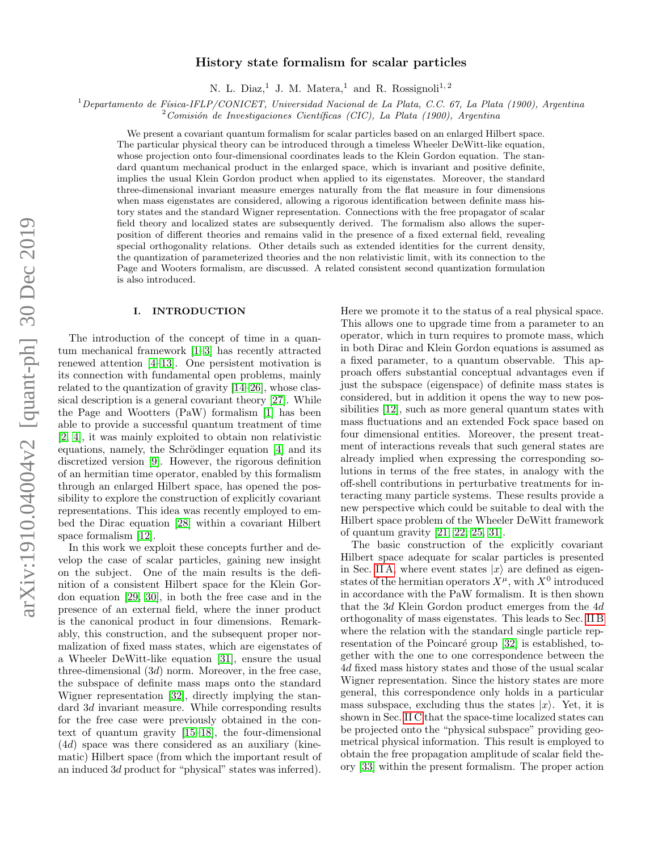# History state formalism for scalar particles

N. L. Diaz,<sup>1</sup> J. M. Matera,<sup>1</sup> and R. Rossignoli<sup>1,2</sup>

 $1$ Departamento de Física-IFLP/CONICET, Universidad Nacional de La Plata, C.C. 67, La Plata (1900), Argentina

 $2$ Comisión de Investigaciones Científicas (CIC), La Plata (1900), Argentina

We present a covariant quantum formalism for scalar particles based on an enlarged Hilbert space. The particular physical theory can be introduced through a timeless Wheeler DeWitt-like equation, whose projection onto four-dimensional coordinates leads to the Klein Gordon equation. The standard quantum mechanical product in the enlarged space, which is invariant and positive definite, implies the usual Klein Gordon product when applied to its eigenstates. Moreover, the standard three-dimensional invariant measure emerges naturally from the flat measure in four dimensions when mass eigenstates are considered, allowing a rigorous identification between definite mass history states and the standard Wigner representation. Connections with the free propagator of scalar field theory and localized states are subsequently derived. The formalism also allows the superposition of different theories and remains valid in the presence of a fixed external field, revealing special orthogonality relations. Other details such as extended identities for the current density, the quantization of parameterized theories and the non relativistic limit, with its connection to the Page and Wooters formalism, are discussed. A related consistent second quantization formulation is also introduced.

# I. INTRODUCTION

The introduction of the concept of time in a quantum mechanical framework [\[1](#page-10-0)[–3\]](#page-10-1) has recently attracted renewed attention [\[4–](#page-10-2)[13\]](#page-11-0). One persistent motivation is its connection with fundamental open problems, mainly related to the quantization of gravity [\[14–](#page-11-1)[26\]](#page-11-2), whose classical description is a general covariant theory [\[27\]](#page-11-3). While the Page and Wootters (PaW) formalism [\[1\]](#page-10-0) has been able to provide a successful quantum treatment of time [\[2,](#page-10-3) [4\]](#page-10-2), it was mainly exploited to obtain non relativistic equations, namely, the Schrödinger equation [\[4\]](#page-10-2) and its discretized version [\[9\]](#page-10-4). However, the rigorous definition of an hermitian time operator, enabled by this formalism through an enlarged Hilbert space, has opened the possibility to explore the construction of explicitly covariant representations. This idea was recently employed to embed the Dirac equation [\[28\]](#page-11-4) within a covariant Hilbert space formalism [\[12\]](#page-11-5).

In this work we exploit these concepts further and develop the case of scalar particles, gaining new insight on the subject. One of the main results is the definition of a consistent Hilbert space for the Klein Gordon equation [\[29,](#page-11-6) [30\]](#page-11-7), in both the free case and in the presence of an external field, where the inner product is the canonical product in four dimensions. Remarkably, this construction, and the subsequent proper normalization of fixed mass states, which are eigenstates of a Wheeler DeWitt-like equation [\[31\]](#page-11-8), ensure the usual three-dimensional  $(3d)$  norm. Moreover, in the free case, the subspace of definite mass maps onto the standard Wigner representation [\[32\]](#page-11-9), directly implying the standard 3d invariant measure. While corresponding results for the free case were previously obtained in the context of quantum gravity [\[15–](#page-11-10)[18\]](#page-11-11), the four-dimensional (4d) space was there considered as an auxiliary (kinematic) Hilbert space (from which the important result of an induced 3d product for "physical" states was inferred).

Here we promote it to the status of a real physical space. This allows one to upgrade time from a parameter to an operator, which in turn requires to promote mass, which in both Dirac and Klein Gordon equations is assumed as a fixed parameter, to a quantum observable. This approach offers substantial conceptual advantages even if just the subspace (eigenspace) of definite mass states is considered, but in addition it opens the way to new possibilities [\[12\]](#page-11-5), such as more general quantum states with mass fluctuations and an extended Fock space based on four dimensional entities. Moreover, the present treatment of interactions reveals that such general states are already implied when expressing the corresponding solutions in terms of the free states, in analogy with the off-shell contributions in perturbative treatments for interacting many particle systems. These results provide a new perspective which could be suitable to deal with the Hilbert space problem of the Wheeler DeWitt framework of quantum gravity [\[21,](#page-11-12) [22,](#page-11-13) [25,](#page-11-14) [31\]](#page-11-8).

The basic construction of the explicitly covariant Hilbert space adequate for scalar particles is presented in Sec. [II A,](#page-1-0) where event states  $|x\rangle$  are defined as eigenstates of the hermitian operators  $X^{\mu}$ , with  $X^0$  introduced in accordance with the PaW formalism. It is then shown that the 3d Klein Gordon product emerges from the 4d orthogonality of mass eigenstates. This leads to Sec. [II B](#page-2-0) where the relation with the standard single particle rep-resentation of the Poincaré group [\[32\]](#page-11-9) is established, together with the one to one correspondence between the 4d fixed mass history states and those of the usual scalar Wigner representation. Since the history states are more general, this correspondence only holds in a particular mass subspace, excluding thus the states  $|x\rangle$ . Yet, it is shown in Sec. [II C](#page-3-0) that the space-time localized states can be projected onto the "physical subspace" providing geometrical physical information. This result is employed to obtain the free propagation amplitude of scalar field theory [\[33\]](#page-11-15) within the present formalism. The proper action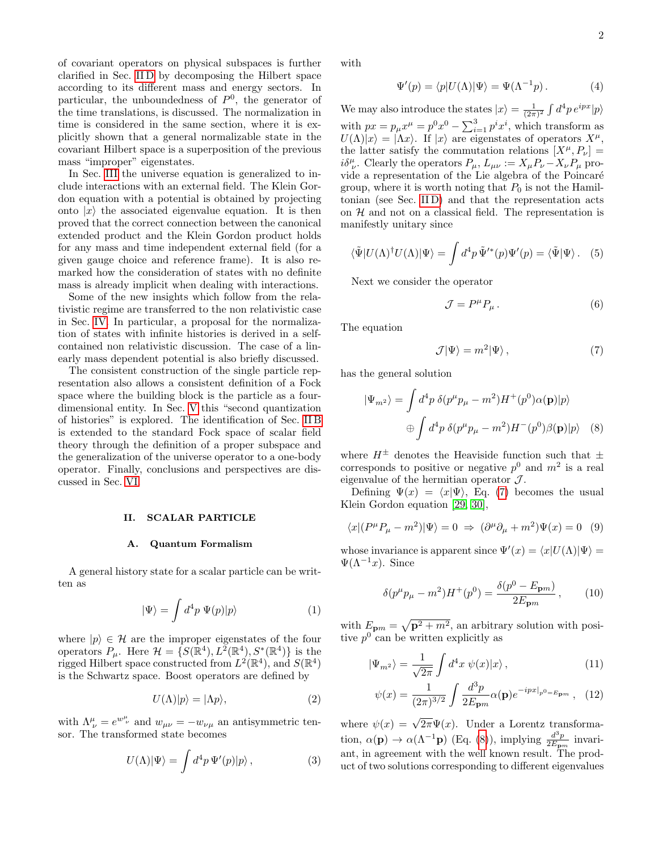of covariant operators on physical subspaces is further clarified in Sec. [II D](#page-4-0) by decomposing the Hilbert space according to its different mass and energy sectors. In particular, the unboundedness of  $P^0$ , the generator of the time translations, is discussed. The normalization in time is considered in the same section, where it is explicitly shown that a general normalizable state in the covariant Hilbert space is a superposition of the previous mass "improper" eigenstates.

In Sec. [III](#page-4-1) the universe equation is generalized to include interactions with an external field. The Klein Gordon equation with a potential is obtained by projecting onto  $|x\rangle$  the associated eigenvalue equation. It is then proved that the correct connection between the canonical extended product and the Klein Gordon product holds for any mass and time independent external field (for a given gauge choice and reference frame). It is also remarked how the consideration of states with no definite mass is already implicit when dealing with interactions.

Some of the new insights which follow from the relativistic regime are transferred to the non relativistic case in Sec. [IV.](#page-6-0) In particular, a proposal for the normalization of states with infinite histories is derived in a selfcontained non relativistic discussion. The case of a linearly mass dependent potential is also briefly discussed.

The consistent construction of the single particle representation also allows a consistent definition of a Fock space where the building block is the particle as a fourdimensional entity. In Sec. [V](#page-7-0) this "second quantization of histories" is explored. The identification of Sec. [II B](#page-2-0) is extended to the standard Fock space of scalar field theory through the definition of a proper subspace and the generalization of the universe operator to a one-body operator. Finally, conclusions and perspectives are discussed in Sec. [VI.](#page-8-0)

#### <span id="page-1-4"></span>II. SCALAR PARTICLE

#### <span id="page-1-0"></span>A. Quantum Formalism

A general history state for a scalar particle can be written as

$$
|\Psi\rangle = \int d^4p \ \Psi(p)|p\rangle \tag{1}
$$

where  $|p\rangle \in \mathcal{H}$  are the improper eigenstates of the four operators  $P_{\mu}$ . Here  $\mathcal{H} = \{ S(\mathbb{R}^4), L^2(\mathbb{R}^4), S^*(\mathbb{R}^4) \}$  is the rigged Hilbert space constructed from  $L^2(\mathbb{R}^4)$ , and  $S(\mathbb{R}^4)$ is the Schwartz space. Boost operators are defined by

<span id="page-1-5"></span>
$$
U(\Lambda)|p\rangle = |\Lambda p\rangle,\tag{2}
$$

with  $\Lambda^{\mu}_{\ \nu} = e^{w^{\mu}_{\ \nu}}$  and  $w_{\mu\nu} = -w_{\nu\mu}$  an antisymmetric tensor. The transformed state becomes

$$
U(\Lambda)|\Psi\rangle = \int d^4p \,\Psi'(p)|p\rangle\,,\tag{3}
$$

with

$$
\Psi'(p) = \langle p|U(\Lambda)|\Psi\rangle = \Psi(\Lambda^{-1}p). \tag{4}
$$

We may also introduce the states  $|x\rangle = \frac{1}{(2\pi)^2} \int d^4p \, e^{ipx} |p\rangle$ with  $px = p_{\mu}x^{\mu} = p^{0}x^{0} - \sum_{i=1}^{3} p^{i}x^{i}$ , which transform as  $U(\Lambda)|x\rangle = |\Lambda x\rangle$ . If  $|x\rangle$  are eigenstates of operators  $X^{\mu}$ , the latter satisfy the commutation relations  $[X^{\mu}, P_{\nu}] =$  $i\delta^{\mu}_{\ \nu}$ . Clearly the operators  $P_{\mu}$ ,  $L_{\mu\nu} := X_{\mu}P_{\nu} - X_{\nu}P_{\mu}$  provide a representation of the Lie algebra of the Poincaré group, where it is worth noting that  $P_0$  is not the Hamiltonian (see Sec. [II D\)](#page-4-0) and that the representation acts on  $H$  and not on a classical field. The representation is manifestly unitary since

$$
\langle \tilde{\Psi} | U(\Lambda)^\dagger U(\Lambda) | \Psi \rangle = \int d^4 p \, \tilde{\Psi}'^*(p) \Psi'(p) = \langle \tilde{\Psi} | \Psi \rangle. \tag{5}
$$

Next we consider the operator

<span id="page-1-6"></span>
$$
\mathcal{J} = P^{\mu} P_{\mu} . \tag{6}
$$

The equation

<span id="page-1-1"></span>
$$
\mathcal{J}|\Psi\rangle = m^2|\Psi\rangle \,,\tag{7}
$$

has the general solution

<span id="page-1-2"></span>
$$
|\Psi_{m^2}\rangle = \int d^4p \ \delta(p^\mu p_\mu - m^2) H^+(p^0) \alpha(\mathbf{p}) |p\rangle
$$
  

$$
\oplus \int d^4p \ \delta(p^\mu p_\mu - m^2) H^-(p^0) \beta(\mathbf{p}) |p\rangle \quad (8)
$$

where  $H^{\pm}$  denotes the Heaviside function such that  $\pm$ corresponds to positive or negative  $p^0$  and  $m^2$  is a real eigenvalue of the hermitian operator  $\mathcal{J}$ .

Defining  $\Psi(x) = \langle x|\Psi\rangle$ , Eq. [\(7\)](#page-1-1) becomes the usual Klein Gordon equation [\[29,](#page-11-6) [30\]](#page-11-7),

$$
\langle x | (P^{\mu}P_{\mu} - m^2) | \Psi \rangle = 0 \Rightarrow (\partial^{\mu}\partial_{\mu} + m^2) \Psi(x) = 0 \quad (9)
$$

whose invariance is apparent since  $\Psi'(x) = \langle x|U(\Lambda)|\Psi\rangle =$  $\Psi(\Lambda^{-1}x)$ . Since

$$
\delta(p^{\mu}p_{\mu} - m^2)H^+(p^0) = \frac{\delta(p^0 - E_{\mathbf{p}m})}{2E_{\mathbf{p}m}},\qquad(10)
$$

with  $E_{\mathbf{p}m} = \sqrt{\mathbf{p}^2 + m^2}$ , an arbitrary solution with positive  $p^0$  can be written explicitly as

<span id="page-1-3"></span>
$$
|\Psi_{m^2}\rangle = \frac{1}{\sqrt{2\pi}} \int d^4x \ \psi(x)|x\rangle \,, \tag{11}
$$

$$
\psi(x) = \frac{1}{(2\pi)^{3/2}} \int \frac{d^3p}{2E_{\mathbf{p}m}} \alpha(\mathbf{p}) e^{-ipx|_{p^0 = E_{\mathbf{p}m}}}, \quad (12)
$$

where  $\psi(x) = \sqrt{2\pi} \Psi(x)$ . Under a Lorentz transformation,  $\alpha(\mathbf{p}) \to \alpha(\Lambda^{-1}\mathbf{p})$  (Eq. [\(8\)](#page-1-2)), implying  $\frac{d^3p}{2E}$  $rac{d^{\circ}p}{2E_{\mathbf{p}m}}$  invariant, in agreement with the well known result. The product of two solutions corresponding to different eigenvalues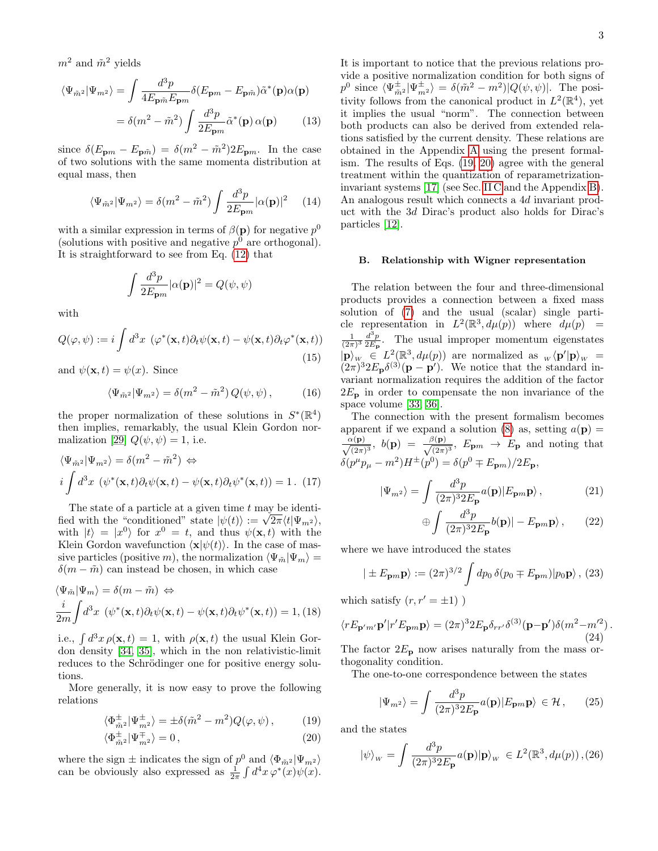$m^2$  and  $\tilde{m}^2$  yields

$$
\langle \Psi_{\tilde{m}^2} | \Psi_{m^2} \rangle = \int \frac{d^3 p}{4E_{\mathbf{p}\tilde{m}} E_{\mathbf{p}m}} \delta(E_{\mathbf{p}m} - E_{\mathbf{p}\tilde{m}}) \tilde{\alpha}^*(\mathbf{p}) \alpha(\mathbf{p})
$$

$$
= \delta(m^2 - \tilde{m}^2) \int \frac{d^3 p}{2E_{\mathbf{p}m}} \tilde{\alpha}^*(\mathbf{p}) \alpha(\mathbf{p}) \qquad (13)
$$

since  $\delta(E_{\mathbf{p}m} - E_{\mathbf{p}\tilde{m}}) = \delta(m^2 - \tilde{m}^2) 2E_{\mathbf{p}m}$ . In the case of two solutions with the same momenta distribution at equal mass, then

<span id="page-2-6"></span>
$$
\langle \Psi_{\tilde{m}^2} | \Psi_{m^2} \rangle = \delta(m^2 - \tilde{m}^2) \int \frac{d^3 p}{2E_{\mathbf{p}m}} |\alpha(\mathbf{p})|^2 \quad (14)
$$

with a similar expression in terms of  $\beta(\mathbf{p})$  for negative  $p^0$ (solutions with positive and negative  $p^0$  are orthogonal). It is straightforward to see from Eq. [\(12\)](#page-1-3) that

$$
\int \frac{d^3p}{2E_{\mathbf{p}m}} |\alpha(\mathbf{p})|^2 = Q(\psi, \psi)
$$

with

$$
Q(\varphi, \psi) := i \int d^3x \, (\varphi^*(\mathbf{x}, t) \partial_t \psi(\mathbf{x}, t) - \psi(\mathbf{x}, t) \partial_t \varphi^*(\mathbf{x}, t)) \tag{15}
$$

and  $\psi(\mathbf{x},t) = \psi(x)$ . Since

<span id="page-2-7"></span>
$$
\langle \Psi_{\tilde{m}^2} | \Psi_{m^2} \rangle = \delta(m^2 - \tilde{m}^2) Q(\psi, \psi), \quad (16)
$$

the proper normalization of these solutions in  $S^*(\mathbb{R}^4)$ then implies, remarkably, the usual Klein Gordon nor-malization [\[29\]](#page-11-6)  $Q(\psi, \psi) = 1$ , i.e.

$$
\langle \Psi_{\tilde{m}^2} | \Psi_{m^2} \rangle = \delta(m^2 - \tilde{m}^2) \Leftrightarrow
$$
  

$$
i \int d^3x \ (\psi^*(\mathbf{x}, t) \partial_t \psi(\mathbf{x}, t) - \psi(\mathbf{x}, t) \partial_t \psi^*(\mathbf{x}, t)) = 1. \tag{17}
$$

The state of a particle at a given time  $t$  may be identi-The state of a particle at a given time t may be identified with the "conditioned" state  $|\psi(t)\rangle := \sqrt{2\pi} \langle t | \Psi_{m^2} \rangle$ , with  $|t\rangle = |x^0\rangle$  for  $x^0 = t$ , and thus  $\psi(\mathbf{x}, t)$  with the Klein Gordon wavefunction  $\langle \mathbf{x} | \psi(t) \rangle$ . In the case of massive particles (positive m), the normalization  $\langle \Psi_{\tilde{m}} | \Psi_{m} \rangle =$  $\delta(m - \tilde{m})$  can instead be chosen, in which case

<span id="page-2-5"></span>
$$
\langle \Psi_{\tilde{m}} | \Psi_{m} \rangle = \delta(m - \tilde{m}) \Leftrightarrow
$$

$$
\frac{i}{2m} \int d^{3}x \, (\psi^*(\mathbf{x}, t) \partial_t \psi(\mathbf{x}, t) - \psi(\mathbf{x}, t) \partial_t \psi^*(\mathbf{x}, t)) = 1, (18)
$$

i.e.,  $\int d^3x \rho(\mathbf{x}, t) = 1$ , with  $\rho(\mathbf{x}, t)$  the usual Klein Gordon density [\[34,](#page-11-16) [35\]](#page-11-17), which in the non relativistic-limit reduces to the Schrödinger one for positive energy solutions.

More generally, it is now easy to prove the following relations

<span id="page-2-1"></span>
$$
\langle \Phi_{\tilde{m}^2}^{\pm} | \Psi_{m^2}^{\pm} \rangle = \pm \delta(\tilde{m}^2 - m^2) Q(\varphi, \psi) , \qquad (19)
$$

$$
\langle \Phi_{\tilde{m}^2}^{\pm} | \Psi_{m^2}^{\mp} \rangle = 0, \qquad (20)
$$

where the sign  $\pm$  indicates the sign of  $p^0$  and  $\langle \Phi_{m^2} | \Psi_{m^2} \rangle$ can be obviously also expressed as  $\frac{1}{2\pi} \int d^4x \,\varphi^*(x)\psi(x)$ . It is important to notice that the previous relations provide a positive normalization condition for both signs of  $p^0$  since  $\langle \Psi_{\tilde m^2}^{\pm} | \Psi_{m^2}^{\pm} \rangle = \delta(\tilde m^2 - m^2) |Q(\psi, \psi)|$ . The positivity follows from the canonical product in  $L^2(\mathbb{R}^4)$ , yet it implies the usual "norm". The connection between both products can also be derived from extended relations satisfied by the current density. These relations are obtained in the Appendix [A](#page-9-0) using the present formalism. The results of Eqs. [\(19, 20\)](#page-2-1) agree with the general treatment within the quantization of reparametrizationinvariant systems [\[17\]](#page-11-18) (see Sec. [II C](#page-3-0) and the Appendix [B\)](#page-10-5). An analogous result which connects a 4d invariant product with the 3d Dirac's product also holds for Dirac's particles [\[12\]](#page-11-5).

# <span id="page-2-0"></span>B. Relationship with Wigner representation

The relation between the four and three-dimensional products provides a connection between a fixed mass solution of [\(7\)](#page-1-1) and the usual (scalar) single particle representation in  $L^2(\mathbb{R}^3, d\mu(p))$  where  $d\mu(p)$  =  $\frac{1}{(2\pi)^3} \frac{d^3p}{2E_p}$  $\frac{d^2p}{2E_p}$ . The usual improper momentum eigenstates  $|\mathbf{p}\rangle_{W} \in L^2(\mathbb{R}^3, d\mu(p))$  are normalized as  $\mathbf{p} \langle \mathbf{p}' | \mathbf{p} \rangle_{W} =$  $(2\pi)^3 2E_p \delta^{(3)}(p - p')$ . We notice that the standard invariant normalization requires the addition of the factor  $2E_{\rm p}$  in order to compensate the non invariance of the space volume [\[33,](#page-11-15) [36\]](#page-11-19).

The connection with the present formalism becomes apparent if we expand a solution [\(8\)](#page-1-2) as, setting  $a(\mathbf{p}) =$  $\frac{\alpha(\mathbf{p})}{\sqrt{(2\pi)^3}},\,\, b(\mathbf{p})\,\,=\,\,\frac{\beta(\mathbf{p})}{\sqrt{(2\pi)}}$  $\frac{\partial (\mathbf{p})}{\partial (\overline{z})^3}$ ,  $E_{\mathbf{p}m} \to E_{\mathbf{p}}$  and noting that  $\delta(p^{\mu}p_{\mu} - m^2)H^{\pm}(p^0) = \delta(p^0 \mp E_{\bf p}m)/2E_{\bf p},$ 

<span id="page-2-4"></span>
$$
|\Psi_{m^2}\rangle = \int \frac{d^3p}{(2\pi)^3 2E_\mathbf{p}} a(\mathbf{p}) |E_{\mathbf{p}m} \mathbf{p}\rangle, \qquad (21)
$$

$$
\bigoplus \int \frac{d^3p}{(2\pi)^3 2E_{\mathbf{p}}} b(\mathbf{p}) | - E_{\mathbf{p}m} \mathbf{p} \rangle , \qquad (22)
$$

where we have introduced the states

$$
|\pm E_{\mathbf{p}m}\mathbf{p}\rangle := (2\pi)^{3/2} \int dp_0 \,\delta(p_0 \mp E_{\mathbf{p}m}) |p_0 \mathbf{p}\rangle, \, (23)
$$

which satisfy  $(r, r' = \pm 1)$ )

$$
\langle rE_{\mathbf{p'}m'}\mathbf{p'}|r'E_{\mathbf{p}m}\mathbf{p}\rangle = (2\pi)^3 2E_{\mathbf{p}}\delta_{rr'}\delta^{(3)}(\mathbf{p}-\mathbf{p'})\delta(m^2-m'^2).
$$
\n(24)

The factor  $2E_p$  now arises naturally from the mass orthogonality condition.

The one-to-one correspondence between the states

<span id="page-2-3"></span>
$$
|\Psi_{m^2}\rangle = \int \frac{d^3p}{(2\pi)^3 2E_\mathbf{p}} a(\mathbf{p}) |E_{\mathbf{p}m} \mathbf{p}\rangle \in \mathcal{H},\qquad(25)
$$

and the states

<span id="page-2-2"></span>
$$
|\psi\rangle_{w} = \int \frac{d^3p}{(2\pi)^3 2E_\mathbf{p}} a(\mathbf{p}) |\mathbf{p}\rangle_{w} \in L^2(\mathbb{R}^3, d\mu(p)), (26)
$$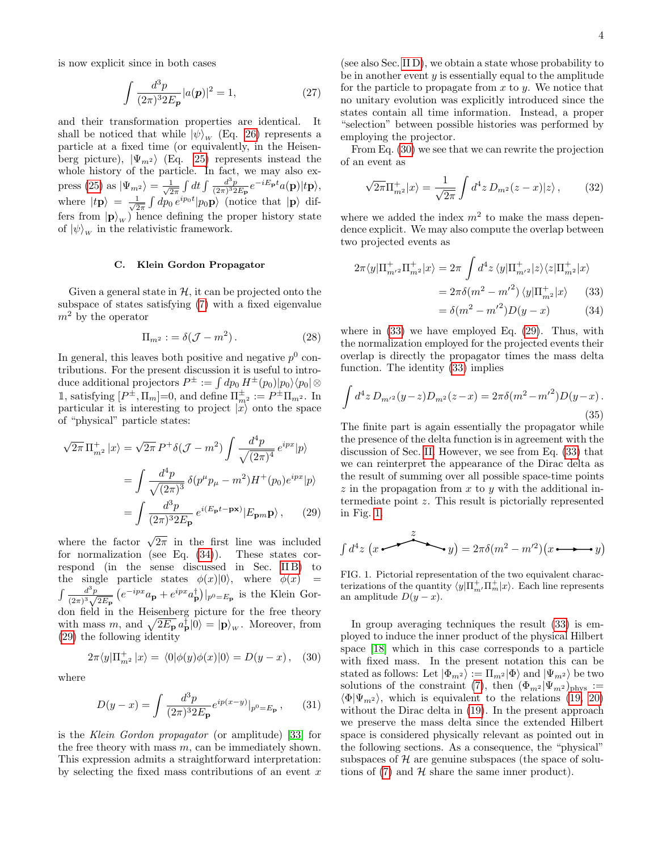is now explicit since in both cases

$$
\int \frac{d^3p}{(2\pi)^3 2E_{\mathbf{p}}} |a(\mathbf{p})|^2 = 1, \tag{27}
$$

and their transformation properties are identical. It shall be noticed that while  $|\psi\rangle_W$  (Eq. [26\)](#page-2-2) represents a particle at a fixed time (or equivalently, in the Heisenberg picture),  $|\Psi_{m^2}\rangle$  (Eq. [25\)](#page-2-3) represents instead the whole history of the particle. In fact, we may also ex-press [\(25\)](#page-2-3) as  $|\Psi_{m^2}\rangle = \frac{1}{\sqrt{2}}$  $\frac{1}{2\pi}\int dt \int \frac{d^3p}{(2\pi)^3 2E_{\bf p}} e^{-iE_{\bf p}t} a({\bf p}) |t{\bf p}\rangle,$ where  $|tp\rangle = \frac{1}{\sqrt{2}}$  $\frac{1}{2\pi} \int dp_0 e^{ip_0 t} |p_0 \mathbf{p}\rangle$  (notice that  $|\mathbf{p}\rangle$  differs from  $|\mathbf{p}\rangle_{w}$ ) hence defining the proper history state of  $|\psi\rangle_w$  in the relativistic framework.

# <span id="page-3-0"></span>C. Klein Gordon Propagator

Given a general state in  $H$ , it can be projected onto the subspace of states satisfying [\(7\)](#page-1-1) with a fixed eigenvalue  $m<sup>2</sup>$  by the operator

$$
\Pi_{m^2} := \delta(\mathcal{J} - m^2). \tag{28}
$$

In general, this leaves both positive and negative  $p^0$  contributions. For the present discussion it is useful to introduce additional projectors  $P^{\pm} := \int dp_0 \, H^{\pm}(p_0)|p_0\rangle\langle p_0|\otimes$ 1, satisfying  $[P^{\pm}, \Pi_m]=0$ , and define  $\Pi_{m^2}^{\pm} := P^{\pm} \Pi_{m^2}$ . In particular it is interesting to project  $\hat{x}$  onto the space of "physical" particle states:

<span id="page-3-2"></span>
$$
\sqrt{2\pi} \Pi_{m^2}^+ |x\rangle = \sqrt{2\pi} P^+ \delta(\mathcal{J} - m^2) \int \frac{d^4 p}{\sqrt{(2\pi)^4}} e^{ipx} |p\rangle
$$

$$
= \int \frac{d^4 p}{\sqrt{(2\pi)^3}} \delta(p^\mu p_\mu - m^2) H^+(p_0) e^{ipx} |p\rangle
$$

$$
= \int \frac{d^3 p}{(2\pi)^3 2E_\mathbf{p}} e^{i(E_\mathbf{p} t - \mathbf{p} \mathbf{x})} |E_{\mathbf{p} m} \mathbf{p}\rangle , \qquad (29)
$$

where the factor  $\sqrt{2\pi}$  in the first line was included for normalization (see Eq. [\(34\)](#page-3-1)). These states correspond (in the sense discussed in Sec. IIB) to the single particle states  $\phi(x)|0\rangle$ , where  $\phi(x)$  =  $\int \frac{d^3p}{(p+1)^2}$  $\frac{d^3p}{(2\pi)^3\sqrt{2E_{\mathbf{p}}}}\left(e^{-ipx}a_{\mathbf{p}}+e^{ipx}a_{\mathbf{p}}^{\dagger}\right)|_{p^0=E_{\mathbf{p}}}$  is the Klein Gordon field in the Heisenberg picture for the free theory with mass m, and  $\sqrt{2E_{\mathbf{p}}} a_{\mathbf{p}}^{\dagger} |0\rangle = |\mathbf{p}\rangle_{w}$ . Moreover, from [\(29\)](#page-3-2) the following identity

<span id="page-3-3"></span>
$$
2\pi \langle y|\Pi_{m^2}^+|x\rangle = \langle 0|\phi(y)\phi(x)|0\rangle = D(y-x), \quad (30)
$$

where

$$
D(y - x) = \int \frac{d^3 p}{(2\pi)^3 2E_\mathbf{p}} e^{ip(x - y)} |_{p^0 = E_\mathbf{p}}, \qquad (31)
$$

is the Klein Gordon propagator (or amplitude) [\[33\]](#page-11-15) for the free theory with mass  $m$ , can be immediately shown. This expression admits a straightforward interpretation: by selecting the fixed mass contributions of an event  $x$ 

(see also Sec. [II D\)](#page-4-0), we obtain a state whose probability to be in another event  $y$  is essentially equal to the amplitude for the particle to propagate from  $x$  to  $y$ . We notice that no unitary evolution was explicitly introduced since the states contain all time information. Instead, a proper "selection" between possible histories was performed by employing the projector.

From Eq. [\(30\)](#page-3-3) we see that we can rewrite the projection of an event as

$$
\sqrt{2\pi}\Pi_{m}^{+}|x\rangle = \frac{1}{\sqrt{2\pi}}\int d^{4}z\,D_{m^{2}}(z-x)|z\rangle\,,\qquad(32)
$$

where we added the index  $m^2$  to make the mass dependence explicit. We may also compute the overlap between two projected events as

<span id="page-3-1"></span>
$$
2\pi \langle y|\Pi_{m^{\prime 2}}^{+}\Pi_{m^2}^{+}|x\rangle = 2\pi \int d^4z \langle y|\Pi_{m^{\prime 2}}^{+}|z\rangle \langle z|\Pi_{m^2}^{+}|x\rangle
$$

$$
= 2\pi \delta (m^2 - m^{\prime 2}) \langle y|\Pi_{m^2}^{+}|x\rangle \qquad (33)
$$

$$
= \delta(m^2 - {m'}^2)D(y - x)
$$
 (34)

where in [\(33\)](#page-3-1) we have employed Eq. [\(29\)](#page-3-2). Thus, with the normalization employed for the projected events their overlap is directly the propagator times the mass delta function. The identity [\(33\)](#page-3-1) implies

$$
\int d^4z \, D_{m'^2}(y-z) D_{m^2}(z-x) = 2\pi \delta(m^2 - {m'}^2) D(y-x) \,. \tag{35}
$$

The finite part is again essentially the propagator while the presence of the delta function is in agreement with the discussion of Sec. [II.](#page-1-4) However, we see from Eq. [\(33\)](#page-3-1) that we can reinterpret the appearance of the Dirac delta as the result of summing over all possible space-time points  $z$  in the propagation from  $x$  to  $y$  with the additional intermediate point z. This result is pictorially represented in Fig. [1.](#page-3-4)

$$
\int d^4z \, (x \longrightarrow z \longrightarrow y) = 2\pi \delta(m^2 - m^2)(x \longrightarrow y)
$$

<span id="page-3-4"></span>FIG. 1. Pictorial representation of the two equivalent characterizations of the quantity  $\langle y|\Pi_{m'}^{\dagger}\Pi_{m}^{\dagger}|x\rangle$ . Each line represents an amplitude  $D(y-x)$ .

In group averaging techniques the result [\(33\)](#page-3-1) is employed to induce the inner product of the physical Hilbert space [\[18\]](#page-11-11) which in this case corresponds to a particle with fixed mass. In the present notation this can be stated as follows: Let  $|\Phi_{m^2}\rangle := \Pi_{m^2}|\Phi\rangle$  and  $|\Psi_{m^2}\rangle$  be two solutions of the constraint [\(7\)](#page-1-1), then  $(\Phi_{m^2}|\Psi_m^2)_{\text{phys}}$  :=  $\langle \Phi | \Psi_{m^2} \rangle$ , which is equivalent to the relations [\(19, 20\)](#page-2-1) without the Dirac delta in [\(19\)](#page-2-1). In the present approach we preserve the mass delta since the extended Hilbert space is considered physically relevant as pointed out in the following sections. As a consequence, the "physical" subspaces of  $H$  are genuine subspaces (the space of solutions of  $(7)$  and  $H$  share the same inner product).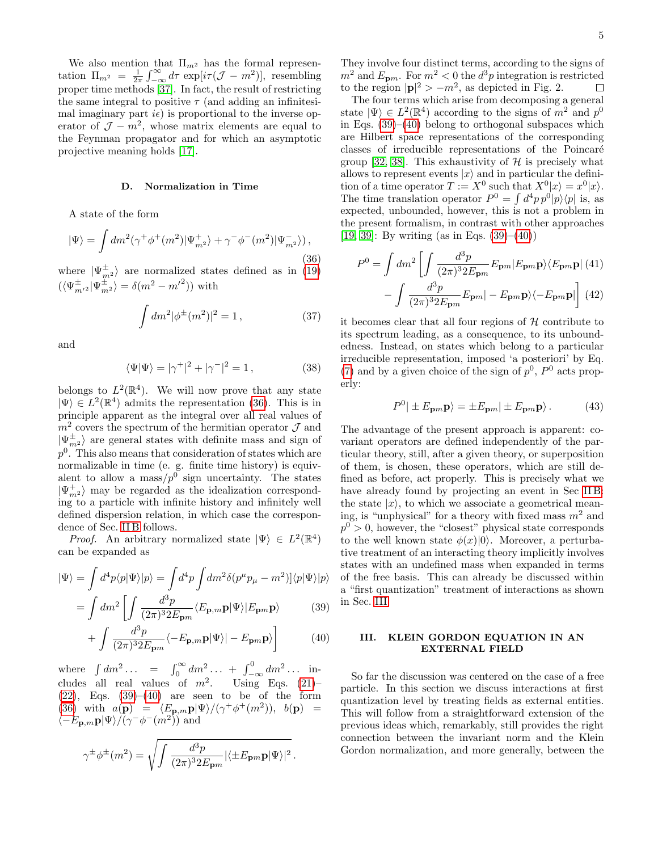We also mention that  $\Pi_{m^2}$  has the formal representation  $\Pi_{m^2} = \frac{1}{2\pi} \int_{-\infty}^{\infty} d\tau \exp[i\tau(\mathcal{J} - m^2)],$  resembling proper time methods [\[37\]](#page-11-20). In fact, the result of restricting the same integral to positive  $\tau$  (and adding an infinitesimal imaginary part  $i\epsilon$ ) is proportional to the inverse operator of  $\mathcal{J} - m^2$ , whose matrix elements are equal to the Feynman propagator and for which an asymptotic projective meaning holds [\[17\]](#page-11-18).

### <span id="page-4-0"></span>D. Normalization in Time

A state of the form

<span id="page-4-2"></span>
$$
|\Psi\rangle = \int dm^2(\gamma^+ \phi^+(m^2) |\Psi_{m^2}^+\rangle + \gamma^- \phi^-(m^2) |\Psi_{m^2}^-\rangle),
$$
\n(36)

where  $|\Psi_{m^2}^{\pm}\rangle$  are normalized states defined as in  $(19)$  $(\langle \Psi^\pm_{m^{\prime}{}^2}|\Psi^\pm_{m^2}\rangle=\delta(m^2-{m^\prime}^2))$  with

$$
\int dm^2 |\phi^{\pm}(m^2)|^2 = 1, \qquad (37)
$$

and

$$
\langle \Psi | \Psi \rangle = |\gamma^+|^2 + |\gamma^-|^2 = 1, \tag{38}
$$

belongs to  $L^2(\mathbb{R}^4)$ . We will now prove that any state  $|\Psi\rangle \in L^2(\mathbb{R}^4)$  admits the representation [\(36\)](#page-4-2). This is in principle apparent as the integral over all real values of  $m<sup>2</sup>$  covers the spectrum of the hermitian operator  $\mathcal J$  and  $|\Psi^{\pm}_{m^2}\rangle$  are general states with definite mass and sign of  $p<sup>0</sup>$ . This also means that consideration of states which are normalizable in time (e. g. finite time history) is equivalent to allow a mass/ $p^0$  sign uncertainty. The states  $|\Psi_{m^2}^+\rangle$  may be regarded as the idealization corresponding to a particle with infinite history and infinitely well defined dispersion relation, in which case the correspondence of Sec. [II B](#page-2-0) follows.

*Proof.* An arbitrary normalized state  $|\Psi\rangle \in L^2(\mathbb{R}^4)$ can be expanded as

<span id="page-4-3"></span>
$$
|\Psi\rangle = \int d^4p \langle p|\Psi\rangle |p\rangle = \int d^4p \int dm^2 \delta(p^\mu p_\mu - m^2) |\langle p|\Psi\rangle |p\rangle
$$

$$
= \int dm^2 \left[ \int \frac{d^3p}{\langle F_{\mu\nu}, \mathbf{p}|\Psi\rangle |F_{\mu\nu}, \mathbf{p}\rangle} \right] \tag{39}
$$

$$
= \int dm^2 \left[ \int \frac{d^2 p}{(2\pi)^3 2E_{\mathbf{p}m}} \langle E_{\mathbf{p},m} \mathbf{p} | \Psi \rangle | E_{\mathbf{p}m} \mathbf{p} \rangle \right]
$$
(39)

$$
+\int \frac{d^3p}{(2\pi)^3 2E_{\mathbf{p}m}} \langle -E_{\mathbf{p},m} \mathbf{p} | \Psi \rangle | - E_{\mathbf{p}m} \mathbf{p} \rangle \tag{40}
$$

where  $\int dm^2 \dots = \int_0^\infty dm^2 \dots + \int_{-\infty}^0 dm^2 \dots$  includes all real values of  $m^2$ . Using Eqs. [\(21\)](#page-2-4)- $(22)$ , Eqs.  $(39)-(40)$  $(39)-(40)$  $(39)-(40)$  are seen to be of the form [\(36\)](#page-4-2) with  $a(\mathbf{p}) = \langle E_{\mathbf{p},m} \mathbf{p} | \Psi \rangle / (\gamma^+ \phi^+(m^2)), b(\mathbf{p}) =$  $\langle -E_{\mathbf{p},m}\mathbf{p}|\Psi\rangle/(\gamma^{-}\phi^{-}(m^{2}))$  and

$$
\gamma^{\pm}\phi^{\pm}(m^2) = \sqrt{\int \frac{d^3p}{(2\pi)^3 2E_{\mathbf{p}m}} |\langle \pm E_{\mathbf{p}m}\mathbf{p}|\Psi\rangle|^2}.
$$

They involve four distinct terms, according to the signs of  $m^2$  and  $E_{\mathbf{p}m}$ . For  $m^2 < 0$  the  $d^3p$  integration is restricted to the region  $|\mathbf{p}|^2 > -m^2$ , as depicted in Fig. 2.

The four terms which arise from decomposing a general state  $|\Psi\rangle \in L^2(\mathbb{R}^4)$  according to the signs of  $m^2$  and  $p^0$ in Eqs.  $(39)$ – $(40)$  belong to orthogonal subspaces which are Hilbert space representations of the corresponding classes of irreducible representations of the Poincaré group [\[32,](#page-11-9) [38\]](#page-11-21). This exhaustivity of  $H$  is precisely what allows to represent events  $|x\rangle$  and in particular the definition of a time operator  $T := X^0$  such that  $X^0|x\rangle = x^0|x\rangle$ . The time translation operator  $P^0 = \int d^4p \, p^0 |p\rangle\langle p|$  is, as expected, unbounded, however, this is not a problem in the present formalism, in contrast with other approaches [\[19,](#page-11-22) [39\]](#page-11-23): By writing (as in Eqs.  $(39)–(40)$  $(39)–(40)$  $(39)–(40)$ )

$$
P^{0} = \int dm^{2} \left[ \int \frac{d^{3}p}{(2\pi)^{3} 2E_{\mathbf{p}m}} E_{\mathbf{p}m} |E_{\mathbf{p}m} \mathbf{p} \rangle \langle E_{\mathbf{p}m} \mathbf{p} | (41) - \int \frac{d^{3}p}{(2\pi)^{3} 2E_{\mathbf{p}m}} E_{\mathbf{p}m} | - E_{\mathbf{p}m} \mathbf{p} \rangle \langle - E_{\mathbf{p}m} \mathbf{p} | \right] (42)
$$

it becomes clear that all four regions of  $H$  contribute to its spectrum leading, as a consequence, to its unboundedness. Instead, on states which belong to a particular irreducible representation, imposed 'a posteriori' by Eq. [\(7\)](#page-1-1) and by a given choice of the sign of  $p^0$ ,  $P^0$  acts properly:

$$
P^{0} | \pm E_{\mathbf{p}m} \mathbf{p} \rangle = \pm E_{\mathbf{p}m} | \pm E_{\mathbf{p}m} \mathbf{p} \rangle. \tag{43}
$$

The advantage of the present approach is apparent: covariant operators are defined independently of the particular theory, still, after a given theory, or superposition of them, is chosen, these operators, which are still defined as before, act properly. This is precisely what we have already found by projecting an event in Sec [II B:](#page-2-0) the state  $|x\rangle$ , to which we associate a geometrical meaning, is "unphysical" for a theory with fixed mass  $m<sup>2</sup>$  and  $p^0 > 0$ , however, the "closest" physical state corresponds to the well known state  $\phi(x)|0\rangle$ . Moreover, a perturbative treatment of an interacting theory implicitly involves states with an undefined mass when expanded in terms of the free basis. This can already be discussed within a "first quantization" treatment of interactions as shown in Sec. [III.](#page-4-1)

# <span id="page-4-1"></span>III. KLEIN GORDON EQUATION IN AN EXTERNAL FIELD

So far the discussion was centered on the case of a free particle. In this section we discuss interactions at first quantization level by treating fields as external entities. This will follow from a straightforward extension of the previous ideas which, remarkably, still provides the right connection between the invariant norm and the Klein Gordon normalization, and more generally, between the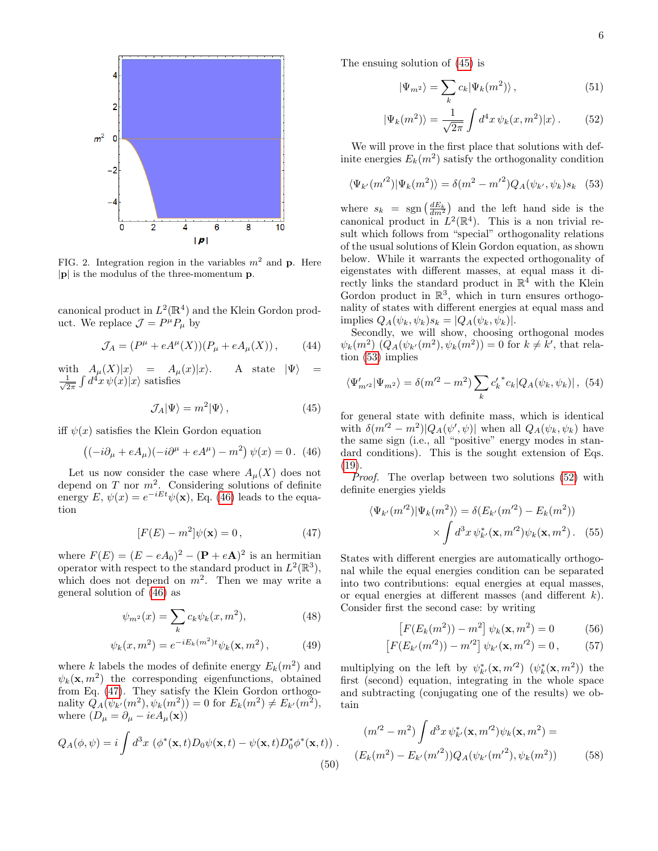

FIG. 2. Integration region in the variables  $m^2$  and p. Here  $|\mathbf{p}|$  is the modulus of the three-momentum **p**.

canonical product in  $L^2(\mathbb{R}^4)$  and the Klein Gordon product. We replace  $\mathcal{J} = P^{\mu} P_{\mu}$  by

<span id="page-5-8"></span>
$$
\mathcal{J}_A = (P^{\mu} + eA^{\mu}(X))(P_{\mu} + eA_{\mu}(X)), \qquad (44)
$$

with  $A_\mu(X)|x\rangle = A_\mu(x)|x\rangle$ . A state  $|\Psi\rangle =$  $\frac{1}{6}$  $\frac{1}{2\pi} \int d^4x \, \psi(x)|x\rangle$  satisfies

<span id="page-5-2"></span>
$$
\mathcal{J}_A|\Psi\rangle = m^2|\Psi\rangle\,,\tag{45}
$$

iff  $\psi(x)$  satisfies the Klein Gordon equation

<span id="page-5-0"></span>
$$
((-i\partial_{\mu} + eA_{\mu})(-i\partial^{\mu} + eA^{\mu}) - m^{2}) \psi(x) = 0. \tag{46}
$$

Let us now consider the case where  $A_\mu(X)$  does not depend on  $T$  nor  $m^2$ . Considering solutions of definite energy  $E, \psi(x) = e^{-iEt}\psi(\mathbf{x})$ , Eq. [\(46\)](#page-5-0) leads to the equation

<span id="page-5-1"></span>
$$
[F(E) - m^2]\psi(\mathbf{x}) = 0, \qquad (47)
$$

where  $F(E) = (E - eA_0)^2 - (\mathbf{P} + e\mathbf{A})^2$  is an hermitian operator with respect to the standard product in  $L^2(\mathbb{R}^3)$ , which does not depend on  $m^2$ . Then we may write a general solution of [\(46\)](#page-5-0) as

$$
\psi_{m^2}(x) = \sum_k c_k \psi_k(x, m^2), \tag{48}
$$

$$
\psi_k(x, m^2) = e^{-iE_k(m^2)t} \psi_k(\mathbf{x}, m^2), \tag{49}
$$

where k labels the modes of definite energy  $E_k(m^2)$  and  $\psi_k(\mathbf{x}, m^2)$  the corresponding eigenfunctions, obtained from Eq. [\(47\)](#page-5-1). They satisfy the Klein Gordon orthogonality  $Q_A(\psi_{k'}(m^2), \psi_k(m^2)) = 0$  for  $E_k(m^2) \neq E_{k'}(m^2)$ , where  $(D_{\mu} = \partial_{\mu} - ieA_{\mu}(\mathbf{x}))$ 

$$
Q_A(\phi, \psi) = i \int d^3x \, (\phi^*(\mathbf{x}, t) D_0 \psi(\mathbf{x}, t) - \psi(\mathbf{x}, t) D_0^* \phi^*(\mathbf{x}, t)) \,. \tag{50}
$$

The ensuing solution of [\(45\)](#page-5-2) is

<span id="page-5-4"></span>
$$
|\Psi_{m^2}\rangle = \sum_k c_k |\Psi_k(m^2)\rangle \,, \tag{51}
$$

$$
|\Psi_k(m^2)\rangle = \frac{1}{\sqrt{2\pi}} \int d^4x \,\psi_k(x,m^2)|x\rangle. \tag{52}
$$

We will prove in the first place that solutions with definite energies  $E_k(m^2)$  satisfy the orthogonality condition

<span id="page-5-3"></span>
$$
\langle \Psi_{k'}(m'^2) | \Psi_k(m^2) \rangle = \delta(m^2 - m'^2) Q_A(\psi_{k'}, \psi_k) s_k \quad (53)
$$

where  $s_k = \text{sgn}\left(\frac{dE_k}{dm^2}\right)$  and the left hand side is the canonical product in  $L^2(\mathbb{R}^4)$ . This is a non trivial result which follows from "special" orthogonality relations of the usual solutions of Klein Gordon equation, as shown below. While it warrants the expected orthogonality of eigenstates with different masses, at equal mass it directly links the standard product in  $\mathbb{R}^4$  with the Klein Gordon product in  $\mathbb{R}^3$ , which in turn ensures orthogonality of states with different energies at equal mass and implies  $Q_A(\psi_k, \psi_k)s_k = |Q_A(\psi_k, \psi_k)|$ .

Secondly, we will show, choosing orthogonal modes  $\psi_k(m^2) (Q_A(\psi_{k'}(m^2), \psi_k(m^2)) = 0$  for  $k \neq k'$ , that relation [\(53\)](#page-5-3) implies

$$
\langle \Psi'_{m^{\prime 2}} | \Psi_{m^2} \rangle = \delta(m^{\prime 2} - m^2) \sum_{k} c'_k^* c_k |Q_A(\psi_k, \psi_k)|, (54)
$$

for general state with definite mass, which is identical with  $\delta(m^2 - m^2)|Q_A(\psi', \psi)|$  when all  $Q_A(\psi_k, \psi_k)$  have the same sign (i.e., all "positive" energy modes in standard conditions). This is the sought extension of Eqs. [\(19\)](#page-2-1).

Proof. The overlap between two solutions [\(52\)](#page-5-4) with definite energies yields

<span id="page-5-5"></span>
$$
\langle \Psi_{k'}(m'^2) | \Psi_k(m^2) \rangle = \delta(E_{k'}(m'^2) - E_k(m^2))
$$

$$
\times \int d^3x \, \psi_{k'}^*(\mathbf{x}, m'^2) \psi_k(\mathbf{x}, m^2). \tag{55}
$$

States with different energies are automatically orthogonal while the equal energies condition can be separated into two contributions: equal energies at equal masses, or equal energies at different masses (and different k). Consider first the second case: by writing

<span id="page-5-7"></span><span id="page-5-6"></span>
$$
[F(E_k(m^2)) - m^2] \psi_k(\mathbf{x}, m^2) = 0 \tag{56}
$$

$$
\[F(E_{k'}(m'^2)) - m'^2\] \psi_{k'}(\mathbf{x}, m'^2) = 0\,,\tag{57}
$$

multiplying on the left by  $\psi^*_{k'}(\mathbf{x}, m'^2)$   $(\psi^*_{k}(\mathbf{x}, m^2))$  the first (second) equation, integrating in the whole space and subtracting (conjugating one of the results) we obtain

$$
(m'^2 - m^2) \int d^3x \, \psi_{k'}^*(\mathbf{x}, m'^2) \psi_k(\mathbf{x}, m^2) =
$$
  

$$
(E_k(m^2) - E_{k'}(m'^2)) Q_A(\psi_{k'}(m'^2), \psi_k(m^2))
$$
 (58)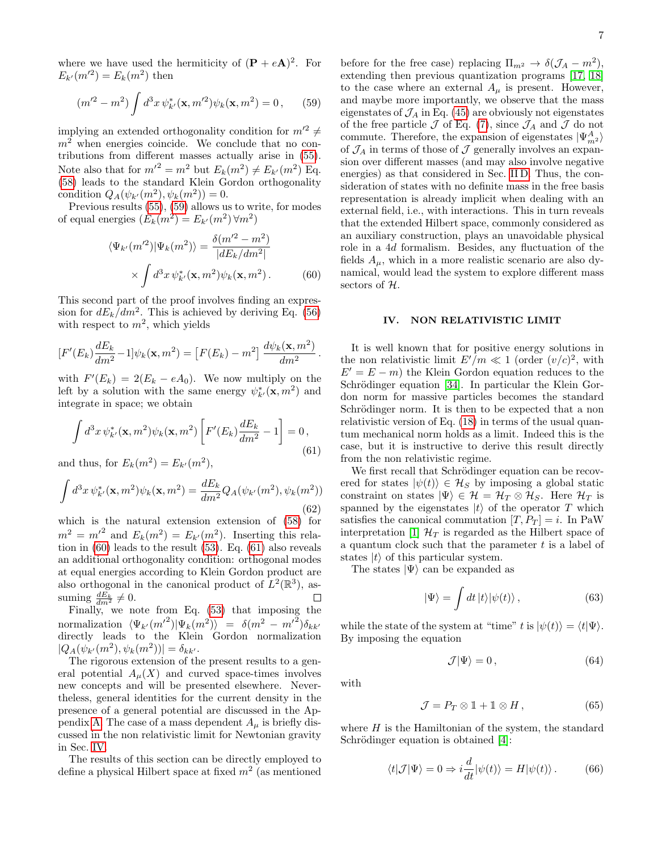where we have used the hermiticity of  $(P + eA)^2$ . For  $E_{k'}(m'^2) = E_k(m^2)$  then

<span id="page-6-1"></span>
$$
(m'^2 - m^2) \int d^3x \, \psi_{k'}^*(\mathbf{x}, m'^2) \psi_k(\mathbf{x}, m^2) = 0, \qquad (59)
$$

implying an extended orthogonality condition for  $m^2 \neq$  $m^2$  when energies coincide. We conclude that no contributions from different masses actually arise in [\(55\)](#page-5-5). Note also that for  $m^2 = m^2$  but  $E_k(m^2) \neq E_{k'}(m^2)$  Eq. [\(58\)](#page-5-6) leads to the standard Klein Gordon orthogonality condition  $Q_A(\psi_{k'}(m^2), \psi_k(m^2)) = 0.$ 

Previous results [\(55\)](#page-5-5), [\(59\)](#page-6-1) allows us to write, for modes of equal energies  $(E_k(m^2) = E_{k'}(m^2) \forall m^2)$ 

<span id="page-6-2"></span>
$$
\langle \Psi_{k'}(m'^2) | \Psi_k(m^2) \rangle = \frac{\delta(m'^2 - m^2)}{|dE_k/dm^2|} \times \int d^3x \, \psi_{k'}^*(\mathbf{x}, m^2) \psi_k(\mathbf{x}, m^2).
$$
 (60)

This second part of the proof involves finding an expression for  $dE_k/dm^2$ . This is achieved by deriving Eq. [\(56\)](#page-5-7) with respect to  $m^2$ , which yields

$$
[F'(E_k)\frac{dE_k}{dm^2}-1]\psi_k(\mathbf{x},m^2) = [F(E_k)-m^2]\frac{d\psi_k(\mathbf{x},m^2)}{dm^2}.
$$

with  $F'(E_k) = 2(E_k - eA_0)$ . We now multiply on the left by a solution with the same energy  $\psi_{k'}^*(\mathbf{x}, m^2)$  and integrate in space; we obtain

<span id="page-6-3"></span>
$$
\int d^3x \, \psi_{k'}^*(\mathbf{x}, m^2) \psi_k(\mathbf{x}, m^2) \left[ F'(E_k) \frac{dE_k}{dm^2} - 1 \right] = 0,
$$
\n(61)

and thus, for  $E_k(m^2) = E_{k'}(m^2)$ ,

$$
\int d^3x \, \psi_{k'}^*(\mathbf{x}, m^2) \psi_k(\mathbf{x}, m^2) = \frac{dE_k}{dm^2} Q_A(\psi_{k'}(m^2), \psi_k(m^2))
$$
\n(62)

which is the natural extension extension of [\(58\)](#page-5-6) for  $m^2 = m^2$  and  $E_k(m^2) = E_{k'}(m^2)$ . Inserting this relation in [\(60\)](#page-6-2) leads to the result [\(53\)](#page-5-3). Eq. [\(61\)](#page-6-3) also reveals an additional orthogonality condition: orthogonal modes at equal energies according to Klein Gordon product are also orthogonal in the canonical product of  $L^2(\mathbb{R}^3)$ , assuming  $\frac{dE_k}{dm^2} \neq 0$ .  $\Box$ 

Finally, we note from Eq.  $(53)$  that imposing the normalization  $\langle \Psi_{k'} (m'^2) | \Psi_k(m^2) \rangle = \delta(m^2 - m'^2) \delta_{kk'}$ directly leads to the Klein Gordon normalization  $|Q_A(\psi_{k'}(m^2), \psi_k(m^2))| = \delta_{kk'}.$ 

The rigorous extension of the present results to a general potential  $A_\mu(X)$  and curved space-times involves new concepts and will be presented elsewhere. Nevertheless, general identities for the current density in the presence of a general potential are discussed in the Ap-pendix [A.](#page-9-0) The case of a mass dependent  $A_\mu$  is briefly discussed in the non relativistic limit for Newtonian gravity in Sec. [IV.](#page-6-0)

The results of this section can be directly employed to define a physical Hilbert space at fixed  $m^2$  (as mentioned

before for the free case) replacing  $\Pi_{m^2} \to \delta(\mathcal{J}_A - m^2)$ , extending then previous quantization programs [\[17,](#page-11-18) [18\]](#page-11-11) to the case where an external  $A_\mu$  is present. However, and maybe more importantly, we observe that the mass eigenstates of  $\mathcal{J}_A$  in Eq. [\(45\)](#page-5-2) are obviously not eigenstates of the free particle  $\mathcal J$  of Eq. [\(7\)](#page-1-1), since  $\mathcal J_A$  and  $\mathcal J$  do not commute. Therefore, the expansion of eigenstates  $|\Psi^A_{m^2}\rangle$ of  $\mathcal{J}_A$  in terms of those of  $\mathcal J$  generally involves an expansion over different masses (and may also involve negative energies) as that considered in Sec. [II D.](#page-4-0) Thus, the consideration of states with no definite mass in the free basis representation is already implicit when dealing with an external field, i.e., with interactions. This in turn reveals that the extended Hilbert space, commonly considered as an auxiliary construction, plays an unavoidable physical role in a 4d formalism. Besides, any fluctuation of the fields  $A_{\mu}$ , which in a more realistic scenario are also dynamical, would lead the system to explore different mass sectors of H.

# <span id="page-6-0"></span>IV. NON RELATIVISTIC LIMIT

It is well known that for positive energy solutions in the non relativistic limit  $E'/m \ll 1$  (order  $(v/c)^2$ , with  $E' = E - m$ ) the Klein Gordon equation reduces to the Schrödinger equation [\[34\]](#page-11-16). In particular the Klein Gordon norm for massive particles becomes the standard Schrödinger norm. It is then to be expected that a non relativistic version of Eq. [\(18\)](#page-2-5) in terms of the usual quantum mechanical norm holds as a limit. Indeed this is the case, but it is instructive to derive this result directly from the non relativistic regime.

We first recall that Schrödinger equation can be recovered for states  $|\psi(t)\rangle \in \mathcal{H}_S$  by imposing a global static constraint on states  $|\Psi\rangle \in \mathcal{H} = \mathcal{H}_T \otimes \mathcal{H}_S$ . Here  $\mathcal{H}_T$  is spanned by the eigenstates  $|t\rangle$  of the operator T which satisfies the canonical commutation  $[T, P_T] = i$ . In PaW interpretation [\[1\]](#page-10-0)  $\mathcal{H}_T$  is regarded as the Hilbert space of a quantum clock such that the parameter  $t$  is a label of states  $|t\rangle$  of this particular system.

The states  $|\Psi\rangle$  can be expanded as

$$
|\Psi\rangle = \int dt \, |t\rangle |\psi(t)\rangle \,, \tag{63}
$$

while the state of the system at "time" t is  $|\psi(t)\rangle = \langle t|\Psi\rangle$ . By imposing the equation

<span id="page-6-4"></span>
$$
\mathcal{J}|\Psi\rangle = 0\,,\tag{64}
$$

with

$$
\mathcal{J} = P_T \otimes \mathbb{1} + \mathbb{1} \otimes H, \qquad (65)
$$

where  $H$  is the Hamiltonian of the system, the standard Schrödinger equation is obtained [\[4\]](#page-10-2):

$$
\langle t|\mathcal{J}|\Psi\rangle = 0 \Rightarrow i\frac{d}{dt}|\psi(t)\rangle = H|\psi(t)\rangle. \tag{66}
$$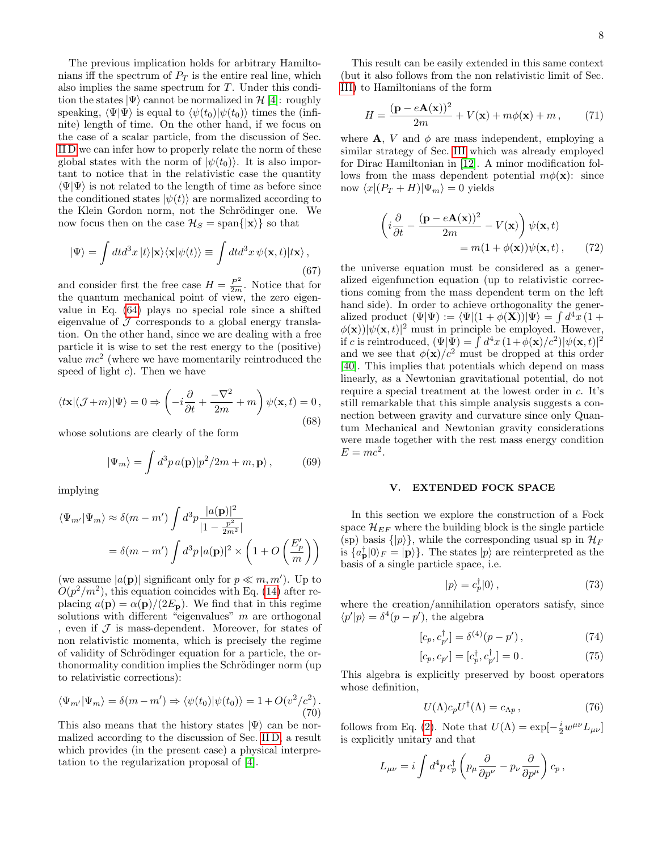The previous implication holds for arbitrary Hamiltonians iff the spectrum of  $P_T$  is the entire real line, which also implies the same spectrum for T. Under this condition the states  $|\Psi\rangle$  cannot be normalized in  $\mathcal{H}$  [\[4\]](#page-10-2): roughly speaking,  $\langle \Psi | \Psi \rangle$  is equal to  $\langle \psi(t_0) | \psi(t_0) \rangle$  times the (infinite) length of time. On the other hand, if we focus on the case of a scalar particle, from the discussion of Sec. [II D](#page-4-0) we can infer how to properly relate the norm of these global states with the norm of  $|\psi(t_0)\rangle$ . It is also important to notice that in the relativistic case the quantity  $\langle \Psi | \Psi \rangle$  is not related to the length of time as before since the conditioned states  $|\psi(t)\rangle$  are normalized according to the Klein Gordon norm, not the Schrödinger one. We now focus then on the case  $\mathcal{H}_S = \text{span}\{|\mathbf{x}\rangle\}$  so that

$$
|\Psi\rangle = \int dt d^3x |t\rangle |\mathbf{x}\rangle \langle \mathbf{x}|\psi(t)\rangle \equiv \int dt d^3x \, \psi(\mathbf{x}, t) |t\mathbf{x}\rangle \,,
$$
\n(67)

and consider first the free case  $H = \frac{P^2}{2m}$ . Notice that for the quantum mechanical point of view, the zero eigenvalue in Eq. [\(64\)](#page-6-4) plays no special role since a shifted eigenvalue of  $\mathcal J$  corresponds to a global energy translation. On the other hand, since we are dealing with a free particle it is wise to set the rest energy to the (positive) value  $mc^2$  (where we have momentarily reintroduced the speed of light  $c$ ). Then we have

$$
\langle t\mathbf{x} | (\mathcal{J}+m) | \Psi \rangle = 0 \Rightarrow \left( -i\frac{\partial}{\partial t} + \frac{-\nabla^2}{2m} + m \right) \psi(\mathbf{x}, t) = 0,
$$
\n(68)

whose solutions are clearly of the form

$$
|\Psi_m\rangle = \int d^3p \, a(\mathbf{p}) |p^2/2m + m, \mathbf{p}\rangle, \qquad (69)
$$

implying

$$
\langle \Psi_{m'} | \Psi_m \rangle \approx \delta(m - m') \int d^3 p \frac{|a(\mathbf{p})|^2}{|1 - \frac{p^2}{2m^2}|}
$$
  
=  $\delta(m - m') \int d^3 p |a(\mathbf{p})|^2 \times \left(1 + O\left(\frac{E'_p}{m}\right)\right)$ 

(we assume  $|a(\mathbf{p})|$  significant only for  $p \ll m, m'$ ). Up to  $O(p^2/m^2)$ , this equation coincides with Eq. [\(14\)](#page-2-6) after replacing  $a(\mathbf{p}) = \alpha(\mathbf{p})/(2E_{\mathbf{p}})$ . We find that in this regime solutions with different "eigenvalues"  $m$  are orthogonal , even if  $\mathcal J$  is mass-dependent. Moreover, for states of non relativistic momenta, which is precisely the regime of validity of Schrödinger equation for a particle, the orthonormality condition implies the Schrödinger norm (up) to relativistic corrections):

$$
\langle \Psi_{m'} | \Psi_m \rangle = \delta(m - m') \Rightarrow \langle \psi(t_0) | \psi(t_0) \rangle = 1 + O(v^2/c^2).
$$
\n(70)

This also means that the history states  $|\Psi\rangle$  can be normalized according to the discussion of Sec. [II D,](#page-4-0) a result which provides (in the present case) a physical interpretation to the regularization proposal of [\[4\]](#page-10-2).

This result can be easily extended in this same context (but it also follows from the non relativistic limit of Sec. [III\)](#page-4-1) to Hamiltonians of the form

$$
H = \frac{(\mathbf{p} - e\mathbf{A}(\mathbf{x}))^2}{2m} + V(\mathbf{x}) + m\phi(\mathbf{x}) + m,
$$
 (71)

where **A**, *V* and  $\phi$  are mass independent, employing a similar strategy of Sec. [III](#page-4-1) which was already employed for Dirac Hamiltonian in [\[12\]](#page-11-5). A minor modification follows from the mass dependent potential  $m\phi(\mathbf{x})$ : since now  $\langle x|(P_T + H)|\Psi_m\rangle = 0$  yields

$$
\begin{aligned} \left(i\frac{\partial}{\partial t} - \frac{(\mathbf{p} - e\mathbf{A}(\mathbf{x}))^2}{2m} - V(\mathbf{x})\right)\psi(\mathbf{x}, t) \\ &= m(1 + \phi(\mathbf{x}))\psi(\mathbf{x}, t) \,, \end{aligned} \tag{72}
$$

the universe equation must be considered as a generalized eigenfunction equation (up to relativistic corrections coming from the mass dependent term on the left hand side). In order to achieve orthogonality the generalized product  $(\Psi|\Psi) := \langle \Psi|(1 + \phi(\mathbf{X}))|\Psi\rangle = \int d^4x (1 +$  $\phi(\mathbf{x}) || \psi(\mathbf{x}, t) ||^2$  must in principle be employed. However, if c is reintroduced,  $(\Psi|\Psi) = \int d^4x (1+\phi(\mathbf{x})/c^2)|\psi(\mathbf{x},t)|^2$ and we see that  $\phi(\mathbf{x})/c^2$  must be dropped at this order [\[40\]](#page-11-24). This implies that potentials which depend on mass linearly, as a Newtonian gravitational potential, do not require a special treatment at the lowest order in c. It's still remarkable that this simple analysis suggests a connection between gravity and curvature since only Quantum Mechanical and Newtonian gravity considerations were made together with the rest mass energy condition  $E = mc^2$ .

# <span id="page-7-0"></span>V. EXTENDED FOCK SPACE

In this section we explore the construction of a Fock space  $\mathcal{H}_{EF}$  where the building block is the single particle (sp) basis  $\{|p\rangle\}$ , while the corresponding usual sp in  $\mathcal{H}_F$ is  $\{a_{\mathbf{p}}^{\dagger}|0\rangle_F = |\mathbf{p}\rangle\}$ . The states  $|p\rangle$  are reinterpreted as the basis of a single particle space, i.e.

$$
|p\rangle = c_p^{\dagger} |0\rangle \,, \tag{73}
$$

where the creation/annihilation operators satisfy, since  $\langle p'|p \rangle = \delta^4(p-p')$ , the algebra

$$
[c_p, c_{p'}^{\dagger}] = \delta^{(4)}(p - p') , \qquad (74)
$$

$$
[c_p, c_{p'}] = [c_p^{\dagger}, c_{p'}^{\dagger}] = 0.
$$
 (75)

This algebra is explicitly preserved by boost operators whose definition,

<span id="page-7-1"></span>
$$
U(\Lambda)c_p U^{\dagger}(\Lambda) = c_{\Lambda p} , \qquad (76)
$$

follows from Eq. [\(2\)](#page-1-5). Note that  $U(\Lambda) = \exp[-\frac{i}{2}w^{\mu\nu}L_{\mu\nu}]$ is explicitly unitary and that

$$
L_{\mu\nu} = i \int d^4 p \, c_p^{\dagger} \left( p_{\mu} \frac{\partial}{\partial p^{\nu}} - p_{\nu} \frac{\partial}{\partial p^{\mu}} \right) c_p \,,
$$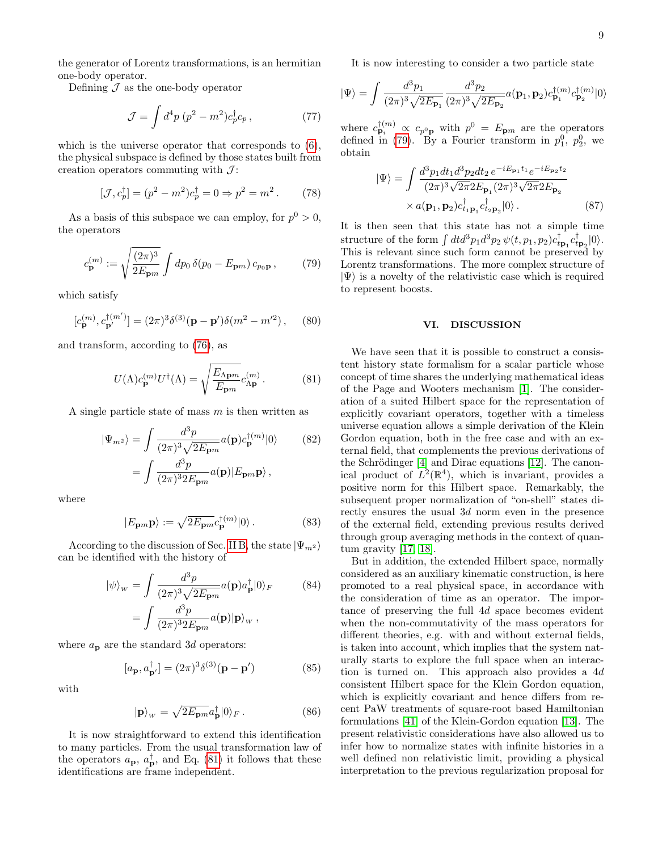the generator of Lorentz transformations, is an hermitian one-body operator.

Defining  $\mathcal J$  as the one-body operator

$$
\mathcal{J} = \int d^4p (p^2 - m^2)c_p^{\dagger}c_p, \qquad (77)
$$

which is the universe operator that corresponds to [\(6\)](#page-1-6), the physical subspace is defined by those states built from creation operators commuting with  $\mathcal{J}$ :

$$
[\mathcal{J}, c_p^{\dagger}] = (p^2 - m^2)c_p^{\dagger} = 0 \Rightarrow p^2 = m^2.
$$
 (78)

As a basis of this subspace we can employ, for  $p^0 > 0$ , the operators

<span id="page-8-2"></span>
$$
c_{\mathbf{p}}^{(m)} := \sqrt{\frac{(2\pi)^3}{2E_{\mathbf{p}m}}} \int dp_0 \,\delta(p_0 - E_{\mathbf{p}m}) \,c_{p_0\mathbf{p}}\,,\tag{79}
$$

which satisfy

$$
[c_{\mathbf{p}}^{(m)}, c_{\mathbf{p'}}^{\dagger (m')}] = (2\pi)^3 \delta^{(3)}(\mathbf{p} - \mathbf{p'}) \delta(m^2 - m'^2), \quad (80)
$$

and transform, according to [\(76\)](#page-7-1), as

<span id="page-8-1"></span>
$$
U(\Lambda)c_{\mathbf{p}}^{(m)}U^{\dagger}(\Lambda) = \sqrt{\frac{E_{\Lambda \mathbf{p}m}}{E_{\mathbf{p}m}}}c_{\Lambda \mathbf{p}}^{(m)}.
$$
 (81)

A single particle state of mass  $m$  is then written as

$$
|\Psi_{m^2}\rangle = \int \frac{d^3p}{(2\pi)^3 \sqrt{2E_{\mathbf{p}m}}} a(\mathbf{p}) c_{\mathbf{p}}^{\dagger(m)} |0\rangle \qquad (82)
$$

$$
= \int \frac{d^3p}{(2\pi)^3 2E_{\mathbf{p}m}} a(\mathbf{p}) |E_{\mathbf{p}m} \mathbf{p}\rangle \,,
$$

where

$$
|E_{\mathbf{p}m}\mathbf{p}\rangle := \sqrt{2E_{\mathbf{p}m}}c_{\mathbf{p}}^{\dagger(m)}|0\rangle.
$$
 (83)

According to the discussion of Sec. [II B,](#page-2-0) the state  $|\Psi_{m^2}\rangle$ can be identified with the history of

$$
|\psi\rangle_{w} = \int \frac{d^{3}p}{(2\pi)^{3}\sqrt{2E_{\mathbf{p}m}}} a(\mathbf{p}) a_{\mathbf{p}}^{\dagger} |0\rangle_{F}
$$
(84)
$$
= \int \frac{d^{3}p}{(2\pi)^{3}2E_{\mathbf{p}m}} a(\mathbf{p}) |\mathbf{p}\rangle_{w},
$$

where  $a_{\rm p}$  are the standard 3d operators:

$$
[a_{\mathbf{p}}, a_{\mathbf{p}'}^{\dagger}] = (2\pi)^3 \delta^{(3)}(\mathbf{p} - \mathbf{p}') \tag{85}
$$

with

$$
|\mathbf{p}\rangle_{w} = \sqrt{2E_{\mathbf{p}m}}a_{\mathbf{p}}^{\dagger}|0\rangle_{F}.
$$
 (86)

It is now straightforward to extend this identification to many particles. From the usual transformation law of the operators  $a_{\mathbf{p}}, a_{\mathbf{p}}^{\dagger}$ , and Eq. [\(81\)](#page-8-1) it follows that these identifications are frame independent.

It is now interesting to consider a two particle state

$$
|\Psi\rangle = \int \frac{d^3p_1}{(2\pi)^3 \sqrt{2E_{\mathbf{p}_1}}} \frac{d^3p_2}{(2\pi)^3 \sqrt{2E_{\mathbf{p}_2}}} a(\mathbf{p}_1, \mathbf{p}_2) c_{\mathbf{p}_1}^{\dagger(m)} c_{\mathbf{p}_2}^{\dagger(m)} |0\rangle
$$

where  $c_{\mathbf{p}_i}^{\dagger(m)} \propto c_{p^0\mathbf{p}}$  with  $p^0 = E_{\mathbf{p}m}$  are the operators defined in [\(79\)](#page-8-2). By a Fourier transform in  $p_1^0$ ,  $p_2^0$ , we obtain

$$
|\Psi\rangle = \int \frac{d^3 p_1 dt_1 d^3 p_2 dt_2 e^{-iE_{\mathbf{p}_1} t_1} e^{-iE_{\mathbf{p}_2} t_2}}{(2\pi)^3 \sqrt{2\pi} 2E_{\mathbf{p}_1} (2\pi)^3 \sqrt{2\pi} 2E_{\mathbf{p}_2}} \times a(\mathbf{p}_1, \mathbf{p}_2) c_{t_1 \mathbf{p}_1}^{\dagger} c_{t_2 \mathbf{p}_2}^{\dagger} |0\rangle.
$$
 (87)

It is then seen that this state has not a simple time structure of the form  $\int dt d^3p_1 d^3p_2 \psi(t, p_1, p_2) c_{t\mathbf{p}_1}^{\dagger} c_{t\mathbf{p}_2}^{\dagger} |0\rangle$ . This is relevant since such form cannot be preserved by Lorentz transformations. The more complex structure of  $|\Psi\rangle$  is a novelty of the relativistic case which is required to represent boosts.

### <span id="page-8-0"></span>VI. DISCUSSION

We have seen that it is possible to construct a consistent history state formalism for a scalar particle whose concept of time shares the underlying mathematical ideas of the Page and Wooters mechanism [\[1\]](#page-10-0). The consideration of a suited Hilbert space for the representation of explicitly covariant operators, together with a timeless universe equation allows a simple derivation of the Klein Gordon equation, both in the free case and with an external field, that complements the previous derivations of the Schrödinger  $[4]$  and Dirac equations  $[12]$ . The canonical product of  $L^2(\mathbb{R}^4)$ , which is invariant, provides a positive norm for this Hilbert space. Remarkably, the subsequent proper normalization of "on-shell" states directly ensures the usual 3d norm even in the presence of the external field, extending previous results derived through group averaging methods in the context of quantum gravity [\[17,](#page-11-18) [18\]](#page-11-11).

But in addition, the extended Hilbert space, normally considered as an auxiliary kinematic construction, is here promoted to a real physical space, in accordance with the consideration of time as an operator. The importance of preserving the full 4d space becomes evident when the non-commutativity of the mass operators for different theories, e.g. with and without external fields, is taken into account, which implies that the system naturally starts to explore the full space when an interaction is turned on. This approach also provides a 4d consistent Hilbert space for the Klein Gordon equation, which is explicitly covariant and hence differs from recent PaW treatments of square-root based Hamiltonian formulations [\[41\]](#page-11-25) of the Klein-Gordon equation [\[13\]](#page-11-0). The present relativistic considerations have also allowed us to infer how to normalize states with infinite histories in a well defined non relativistic limit, providing a physical interpretation to the previous regularization proposal for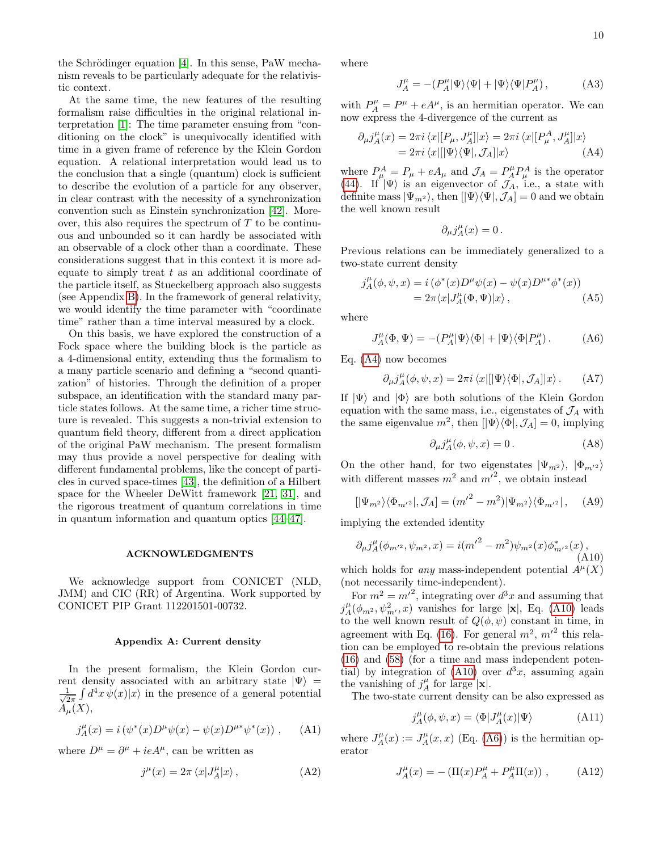the Schrödinger equation  $[4]$ . In this sense, PaW mechanism reveals to be particularly adequate for the relativistic context.

At the same time, the new features of the resulting formalism raise difficulties in the original relational interpretation [\[1\]](#page-10-0): The time parameter ensuing from "conditioning on the clock" is unequivocally identified with time in a given frame of reference by the Klein Gordon equation. A relational interpretation would lead us to the conclusion that a single (quantum) clock is sufficient to describe the evolution of a particle for any observer, in clear contrast with the necessity of a synchronization convention such as Einstein synchronization [\[42\]](#page-11-26). Moreover, this also requires the spectrum of  $T$  to be continuous and unbounded so it can hardly be associated with an observable of a clock other than a coordinate. These considerations suggest that in this context it is more adequate to simply treat  $t$  as an additional coordinate of the particle itself, as Stueckelberg approach also suggests (see Appendix [B\)](#page-10-5). In the framework of general relativity, we would identify the time parameter with "coordinate time" rather than a time interval measured by a clock.

On this basis, we have explored the construction of a Fock space where the building block is the particle as a 4-dimensional entity, extending thus the formalism to a many particle scenario and defining a "second quantization" of histories. Through the definition of a proper subspace, an identification with the standard many particle states follows. At the same time, a richer time structure is revealed. This suggests a non-trivial extension to quantum field theory, different from a direct application of the original PaW mechanism. The present formalism may thus provide a novel perspective for dealing with different fundamental problems, like the concept of particles in curved space-times [\[43\]](#page-11-27), the definition of a Hilbert space for the Wheeler DeWitt framework [\[21,](#page-11-12) [31\]](#page-11-8), and the rigorous treatment of quantum correlations in time in quantum information and quantum optics [\[44–](#page-11-28)[47\]](#page-11-29).

# ACKNOWLEDGMENTS

We acknowledge support from CONICET (NLD, JMM) and CIC (RR) of Argentina. Work supported by CONICET PIP Grant 112201501-00732.

#### <span id="page-9-0"></span>Appendix A: Current density

In the present formalism, the Klein Gordon current density associated with an arbitrary state  $|\Psi\rangle$  =  $\frac{1}{2}$  $\frac{1}{2\pi} \int d^4x \, \psi(x)|x\rangle$  in the presence of a general potential  $A_{\mu}(X),$ 

$$
j_A^{\mu}(x) = i(\psi^*(x)D^{\mu}\psi(x) - \psi(x)D^{\mu*}\psi^*(x)), \quad (A1)
$$

where  $D^{\mu} = \partial^{\mu} + ieA^{\mu}$ , can be written as

$$
j^{\mu}(x) = 2\pi \left\langle x|J^{\mu}_A|x\right\rangle, \tag{A2}
$$

where

$$
J_A^{\mu} = - (P_A^{\mu} |\Psi\rangle\langle\Psi| + |\Psi\rangle\langle\Psi| P_A^{\mu})\,, \eqno({\rm A3})
$$

with  $P_A^{\mu} = P^{\mu} + eA^{\mu}$ , is an hermitian operator. We can now express the 4-divergence of the current as

<span id="page-9-1"></span>
$$
\partial_{\mu}j_{A}^{\mu}(x) = 2\pi i \langle x | [P_{\mu}, J_{A}^{\mu}] | x \rangle = 2\pi i \langle x | [P_{\mu}^{A}, J_{A}^{\mu}] | x \rangle
$$
  
=  $2\pi i \langle x | [ \Psi \rangle \langle \Psi |, J_{A}] | x \rangle$  (A4)

where  $P_{\mu}^{A} = P_{\mu} + eA_{\mu}$  and  $\mathcal{J}_{A} = P_{A}^{\mu}P_{\mu}^{A}$  is the operator [\(44\)](#page-5-8). If  $|\Psi\rangle$  is an eigenvector of  $\mathcal{J}_A$ , i.e., a state with definite mass  $|\Psi_{m^2}\rangle$ , then  $[|\Psi\rangle\langle\Psi|, \mathcal{J}_A] = 0$  and we obtain the well known result

$$
\partial_\mu j_A^\mu(x)=0\,.
$$

Previous relations can be immediately generalized to a two-state current density

$$
j_A^{\mu}(\phi, \psi, x) = i (\phi^*(x) D^{\mu} \psi(x) - \psi(x) D^{\mu *} \phi^*(x))
$$
  
=  $2\pi \langle x | J_A^{\mu}(\Phi, \Psi) | x \rangle$ , (A5)

where

<span id="page-9-3"></span>
$$
J_A^{\mu}(\Phi, \Psi) = -(P_A^{\mu}|\Psi\rangle\langle\Phi| + |\Psi\rangle\langle\Phi|P_A^{\mu}). \tag{A6}
$$

Eq. [\(A4\)](#page-9-1) now becomes

$$
\partial_{\mu}j^{\mu}_A(\phi,\psi,x) = 2\pi i \langle x|[|\Psi\rangle\langle\Phi|, \mathcal{J}_A]|x\rangle. \tag{A7}
$$

If  $|\Psi\rangle$  and  $|\Phi\rangle$  are both solutions of the Klein Gordon equation with the same mass, i.e., eigenstates of  $\mathcal{J}_A$  with the same eigenvalue  $m^2$ , then  $[|\Psi\rangle\langle\Phi|, \mathcal{J}_A] = 0$ , implying

$$
\partial_{\mu}j_{A}^{\mu}(\phi,\psi,x) = 0.
$$
 (A8)

On the other hand, for two eigenstates  $|\Psi_{m^2}\rangle$ ,  $|\Phi_{m^2}\rangle$ with different masses  $m^2$  and  $m^2$ , we obtain instead

$$
[|\Psi_{m^2}\rangle\langle\Phi_{m^{\prime 2}}|, \mathcal{J}_A] = (m^{\prime 2} - m^2)|\Psi_{m^2}\rangle\langle\Phi_{m^{\prime 2}}| \,, \quad \text{(A9)}
$$

implying the extended identity

<span id="page-9-2"></span>
$$
\partial_{\mu}j_{A}^{\mu}(\phi_{m^{\prime2}}, \psi_{m^2}, x) = i(m^{\prime2} - m^2)\psi_{m^2}(x)\phi_{m^{\prime2}}^*(x),
$$
\n(A10)

which holds for any mass-independent potential  $A^{\mu}(X)$ (not necessarily time-independent).

For  $m^2 = m^2$ , integrating over  $d^3x$  and assuming that  $j_A^{\mu}(\phi_{m^2}, \psi_{m'}^2, x)$  vanishes for large |x|, Eq. [\(A10\)](#page-9-2) leads to the well known result of  $Q(\phi, \psi)$  constant in time, in agreement with Eq. [\(16\)](#page-2-7). For general  $m^2$ ,  $m^2$  this relation can be employed to re-obtain the previous relations [\(16\)](#page-2-7) and [\(58\)](#page-5-6) (for a time and mass independent poten-tial) by integration of [\(A10\)](#page-9-2) over  $d^3x$ , assuming again the vanishing of  $j_A^{\mu}$  for large  $|\mathbf{x}|$ .

The two-state current density can be also expressed as

$$
j_A^{\mu}(\phi, \psi, x) = \langle \Phi | J_A^{\mu}(x) | \Psi \rangle \tag{A11}
$$

where  $J_A^{\mu}(x) := J_A^{\mu}(x, x)$  (Eq. [\(A6\)](#page-9-3)) is the hermitian operator

$$
J_A^{\mu}(x) = -(\Pi(x)P_A^{\mu} + P_A^{\mu}\Pi(x)) , \qquad (A12)
$$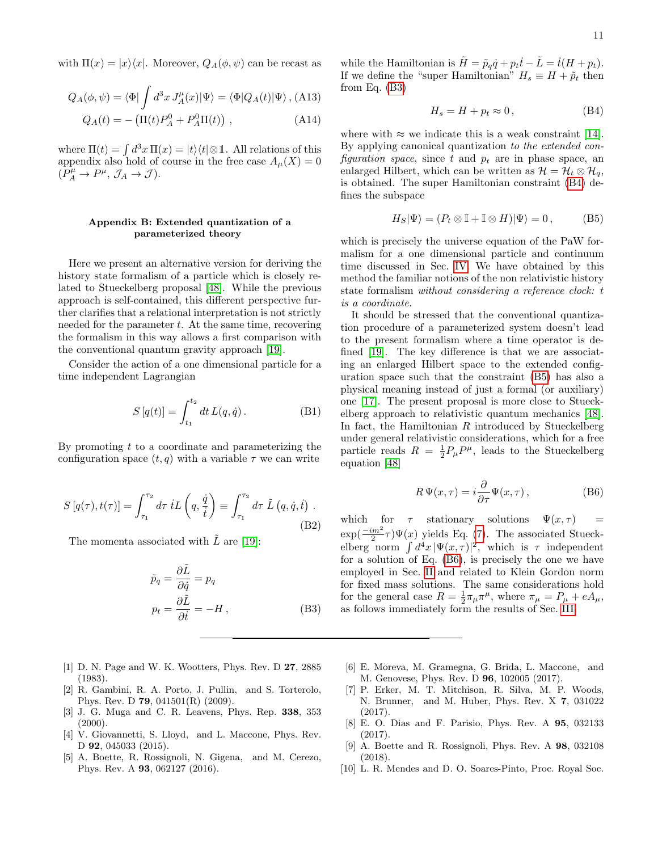with  $\Pi(x) = |x\rangle\langle x|$ . Moreover,  $Q_A(\phi, \psi)$  can be recast as

$$
Q_A(\phi, \psi) = \langle \Phi | \int d^3x J_A^{\mu}(x) | \Psi \rangle = \langle \Phi | Q_A(t) | \Psi \rangle , \text{(A13)}
$$

$$
Q_A(t) = -\left(\Pi(t)P_A^0 + P_A^0\Pi(t)\right) ,\qquad (A14)
$$

where  $\Pi(t) = \int d^3x \, \Pi(x) = |t\rangle\langle t| \otimes \mathbb{1}$ . All relations of this appendix also hold of course in the free case  $A_\mu(X) = 0$  $(P_A^{\mu} \to P^{\mu}, \mathcal{J}_A \to \mathcal{J}).$ 

# <span id="page-10-5"></span>Appendix B: Extended quantization of a parameterized theory

Here we present an alternative version for deriving the history state formalism of a particle which is closely related to Stueckelberg proposal [\[48\]](#page-11-30). While the previous approach is self-contained, this different perspective further clarifies that a relational interpretation is not strictly needed for the parameter  $t$ . At the same time, recovering the formalism in this way allows a first comparison with the conventional quantum gravity approach [\[19\]](#page-11-22).

Consider the action of a one dimensional particle for a time independent Lagrangian

$$
S[q(t)] = \int_{t_1}^{t_2} dt L(q, \dot{q}).
$$
 (B1)

By promoting  $t$  to a coordinate and parameterizing the configuration space  $(t, q)$  with a variable  $\tau$  we can write

$$
S\left[q(\tau), t(\tau)\right] = \int_{\tau_1}^{\tau_2} d\tau \, iL\left(q, \frac{\dot{q}}{\dot{t}}\right) \equiv \int_{\tau_1}^{\tau_2} d\tau \, \tilde{L}\left(q, \dot{q}, \dot{t}\right) . \tag{B2}
$$

The momenta associated with  $\tilde{L}$  are [\[19\]](#page-11-22):

<span id="page-10-6"></span>
$$
\tilde{p}_q = \frac{\partial \tilde{L}}{\partial \dot{q}} = p_q
$$
\n
$$
p_t = \frac{\partial \tilde{L}}{\partial \dot{t}} = -H,
$$
\n(B3)

- <span id="page-10-0"></span>[1] D. N. Page and W. K. Wootters, Phys. Rev. D 27, 2885 (1983).
- <span id="page-10-3"></span>[2] R. Gambini, R. A. Porto, J. Pullin, and S. Torterolo, Phys. Rev. D 79, 041501(R) (2009).
- <span id="page-10-1"></span>[3] J. G. Muga and C. R. Leavens, Phys. Rep. 338, 353  $(2000).$
- <span id="page-10-2"></span>[4] V. Giovannetti, S. Lloyd, and L. Maccone, Phys. Rev. D **92**, 045033 (2015).
- [5] A. Boette, R. Rossignoli, N. Gigena, and M. Cerezo, Phys. Rev. A 93, 062127 (2016).

while the Hamiltonian is  $\tilde{H} = \tilde{p}_q \dot{q} + p_t \dot{t} - \tilde{L} = \dot{t}(H + p_t)$ . If we define the "super Hamiltonian"  $H_s \equiv H + \tilde{p}_t$  then from Eq. [\(B3\)](#page-10-6)

<span id="page-10-7"></span>
$$
H_s = H + p_t \approx 0, \tag{B4}
$$

where with  $\approx$  we indicate this is a weak constraint [\[14\]](#page-11-1). By applying canonical quantization to the extended configuration space, since t and  $p_t$  are in phase space, an enlarged Hilbert, which can be written as  $\mathcal{H} = \mathcal{H}_t \otimes \mathcal{H}_q$ , is obtained. The super Hamiltonian constraint [\(B4\)](#page-10-7) defines the subspace

<span id="page-10-8"></span>
$$
H_S|\Psi\rangle = (P_t \otimes \mathbb{I} + \mathbb{I} \otimes H)|\Psi\rangle = 0, \quad (B5)
$$

which is precisely the universe equation of the PaW formalism for a one dimensional particle and continuum time discussed in Sec. [IV.](#page-6-0) We have obtained by this method the familiar notions of the non relativistic history state formalism without considering a reference clock: t is a coordinate.

It should be stressed that the conventional quantization procedure of a parameterized system doesn't lead to the present formalism where a time operator is defined [\[19\]](#page-11-22). The key difference is that we are associating an enlarged Hilbert space to the extended configuration space such that the constraint [\(B5\)](#page-10-8) has also a physical meaning instead of just a formal (or auxiliary) one [\[17\]](#page-11-18). The present proposal is more close to Stueckelberg approach to relativistic quantum mechanics [\[48\]](#page-11-30). In fact, the Hamiltonian  $R$  introduced by Stueckelberg under general relativistic considerations, which for a free particle reads  $R = \frac{1}{2}P_{\mu}P^{\mu}$ , leads to the Stueckelberg equation [\[48\]](#page-11-30)

<span id="page-10-9"></span>
$$
R\Psi(x,\tau) = i\frac{\partial}{\partial \tau}\Psi(x,\tau),\qquad (B6)
$$

which for  $\tau$  stationary solutions  $\Psi(x, \tau)$  $\exp(\frac{-im^2}{2}\tau)\Psi(x)$  yields Eq. [\(7\)](#page-1-1). The associated Stueckelberg norm  $\int d^4x |\Psi(x, \tau)|^2$ , which is  $\tau$  independent for a solution of Eq. [\(B6\)](#page-10-9), is precisely the one we have employed in Sec. [II](#page-1-4) and related to Klein Gordon norm for fixed mass solutions. The same considerations hold for the general case  $R = \frac{1}{2}\pi_{\mu}\pi^{\mu}$ , where  $\pi_{\mu} = P_{\mu} + eA_{\mu}$ , as follows immediately form the results of Sec. [III.](#page-4-1)

- [6] E. Moreva, M. Gramegna, G. Brida, L. Maccone, and M. Genovese, Phys. Rev. D 96, 102005 (2017).
- [7] P. Erker, M. T. Mitchison, R. Silva, M. P. Woods, N. Brunner, and M. Huber, Phys. Rev. X 7, 031022 (2017).
- [8] E. O. Dias and F. Parisio, Phys. Rev. A 95, 032133 (2017).
- <span id="page-10-4"></span>[9] A. Boette and R. Rossignoli, Phys. Rev. A 98, 032108 (2018).
- [10] L. R. Mendes and D. O. Soares-Pinto, Proc. Royal Soc.